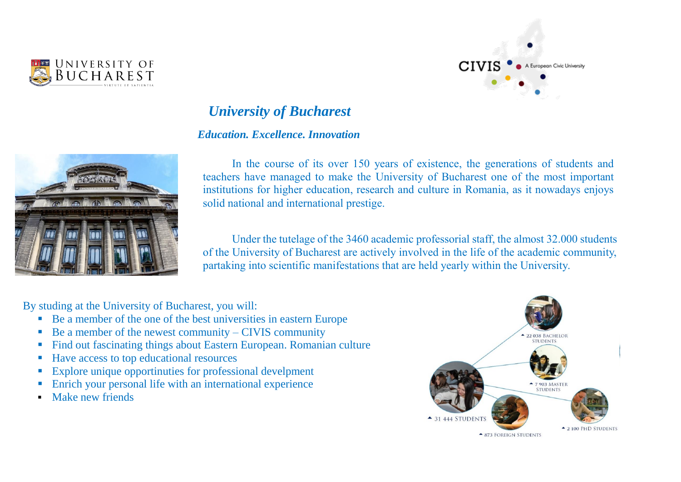



# *University of Bucharest*

# *Education. Excellence. Innovation*



In the course of its over 150 years of existence, the generations of students and teachers have managed to make the University of Bucharest one of the most important institutions for higher education, research and culture in Romania, as it nowadays enjoys solid national and international prestige.

Under the tutelage of the 3460 academic professorial staff, the almost 32.000 students of the University of Bucharest are actively involved in the life of the academic community, partaking into scientific manifestations that are held yearly within the University.

By studing at the University of Bucharest, you will:

- Be a member of the one of the best universities in eastern Europe
- $\blacksquare$  Be a member of the newest community CIVIS community
- Find out fascinating things about Eastern European. Romanian culture
- Have access to top educational resources
- Explore unique opportinuties for professional develpment
- **Enrich your personal life with an international experience**
- Make new friends

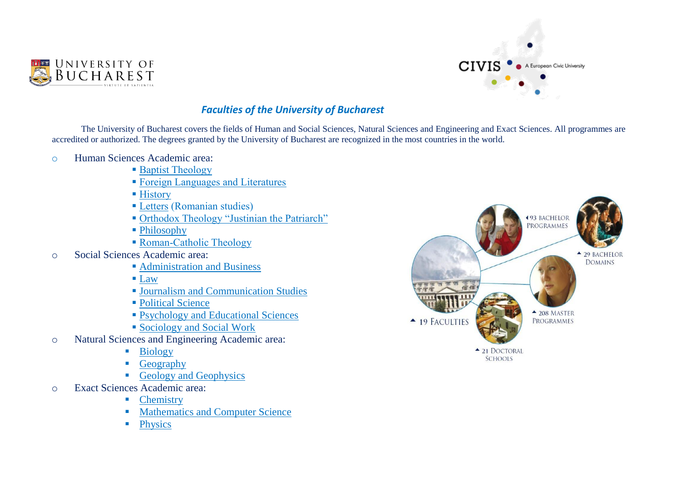



# *Faculties of the University of Bucharest*

The University of Bucharest covers the fields of Human and Social Sciences, Natural Sciences and Engineering and Exact Sciences. All programmes are accredited or authorized. The degrees granted by the University of Bucharest are recognized in the most countries in the world.

- o Human Sciences Academic area:
	- **[Baptist Theology](https://en.unibuc.ro/academic-programmes/faculties/faculty-of-baptist-theology/)**
	- [Foreign Languages and Literatures](https://en.unibuc.ro/academic-programmes/faculties/faculty-of-foreign-languages-and-literatures/)
	- [History](https://en.unibuc.ro/academic-programmes/faculties/faculty-of-history/)
	- [Letters](https://en.unibuc.ro/academic-programmes/faculties/faculty-of-letters/) (Romanian studies)
	- [Orthodox Theology "Justinian the Patriarch"](https://en.unibuc.ro/academic-programmes/faculties/faculty-of-orthodox-theology-justinian-the-patriarch/)
	- Philosophy
	- [Roman-Catholic Theology](https://en.unibuc.ro/academic-programmes/faculties/faculty-of-roman-catholict-theology/)
- o Social Sciences Academic area:
	- **[Administration and Business](https://en.unibuc.ro/academic-programmes/faculties/faculty-of-business-and-administration/)**
	- $\blacksquare$  [Law](https://en.unibuc.ro/academic-programmes/faculties/faculty-of-law/)
	- [Journalism and Communication Studies](https://en.unibuc.ro/academic-programmes/faculties/faculty-of-journalism-and-communication-studies/)
	- [Political Science](https://en.unibuc.ro/academic-programmes/faculties/faculty-of-political-science/)
	- [Psychology and Educational Sciences](https://en.unibuc.ro/academic-programmes/faculties/faculty-of-psychology-and-educational-sciences/)
	- [Sociology and Social Work](https://en.unibuc.ro/academic-programmes/faculties/faculty-of-sociology-and-social-work/)
- o Natural Sciences and Engineering Academic area:
	- **Biology**
	- **Geography**
	- Geology and Geophysics
- o Exact Sciences Academic area:
	- **Chemistry**
	- **Mathematics and Computer Science**
	- **Physics**

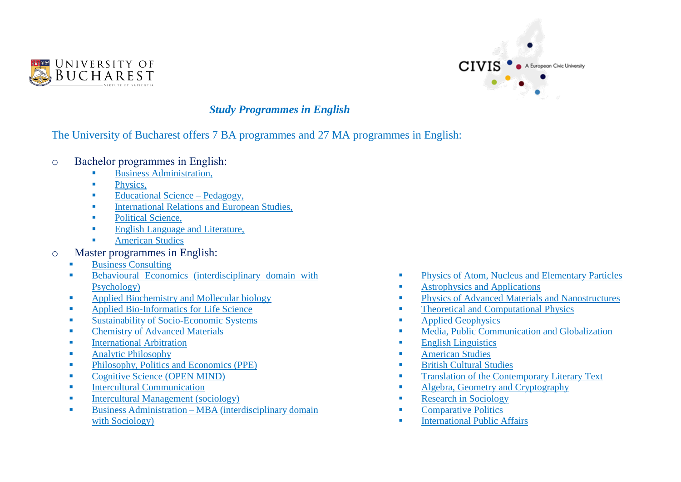



# *Study Programmes in English*

# The University of Bucharest offers 7 BA programmes and 27 MA programmes in English:

- o Bachelor programmes in English:
	- Business Administration,
	- **Physics.**
	- $\blacksquare$  Educational Science Pedagogy,
	- **International Relations and European Studies,**
	- Political Science,
	- **English Language and Literature,**
	- **American Studies**
- o Master programmes in English:
	- **Business Consulting**
	- **Behavioural Economics (interdisciplinary domain with** Psychology)
	- **Applied Biochemistry and Mollecular biology**
	- **Applied Bio-Informatics for Life Science**
	- Sustainability of Socio-Economic Systems
	- Chemistry of Advanced Materials
	- International Arbitration
	- Analytic Philosophy
	- Philosophy, Politics and Economics (PPE)
	- Cognitive Science (OPEN MIND)
	- Intercultural Communication
	- Intercultural Management (sociology)
	- $\blacksquare$  Business Administration MBA (interdisciplinary domain with Sociology)
- **Physics of Atom, Nucleus and Elementary Particles**
- **Astrophysics and Applications**
- **Physics of Advanced Materials and Nanostructures**
- **Theoretical and Computational Physics**
- **Applied Geophysics**
- **Media, Public Communication and Globalization**
- **English Linguistics**
- **American Studies**
- **British Cultural Studies**
- **Translation of the Contemporary Literary Text**
- **Algebra, Geometry and Cryptography**
- **Research in Sociology**
- **Comparative Politics**
- **International Public Affairs**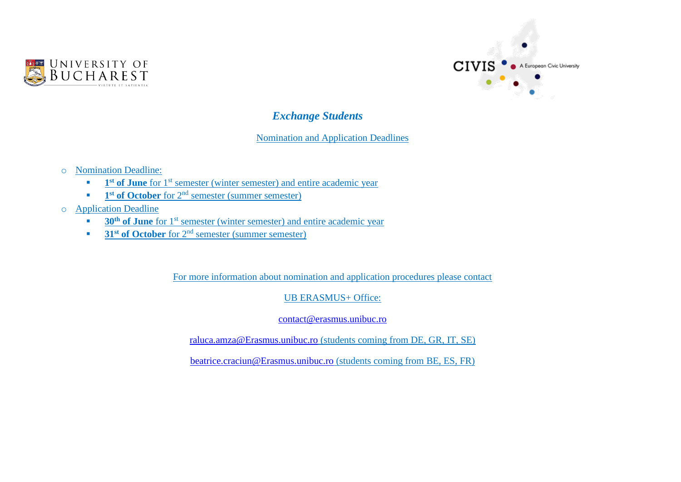



## *Exchange Students*

#### Nomination and Application Deadlines

- o Nomination Deadline:
	- **1 1 i of June** for 1<sup>st</sup> semester (winter semester) and entire academic year
	- **1 1**<sup>st</sup> of October for 2<sup>nd</sup> semester (summer semester)
- o Application Deadline
	- **30<sup>th</sup> of June** for 1<sup>st</sup> semester (winter semester) and entire academic year
	- **31<sup>st</sup> of October** for 2<sup>nd</sup> semester (summer semester)

For more information about nomination and application procedures please contact

UB ERASMUS+ Office:

[contact@erasmus.unibuc.ro](mailto:contact@erasmus.unibuc.ro)

[raluca.amza@Erasmus.unibuc.ro](mailto:raluca.amza@Erasmus.unibuc.ro) (students coming from DE, GR, IT, SE)

[beatrice.craciun@Erasmus.unibuc.ro](mailto:beatrice.craciun@Erasmus.unibuc.ro) (students coming from BE, ES, FR)